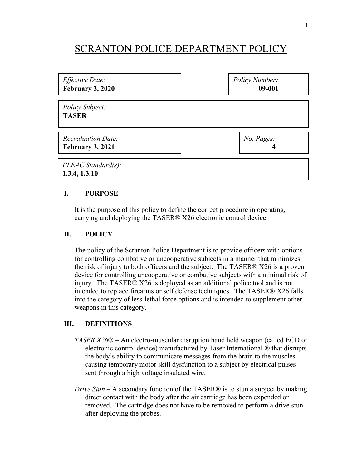# SCRANTON POLICE DEPARTMENT POLICY

| Effective Date:                     | Policy Number: |
|-------------------------------------|----------------|
| February 3, 2020                    | 09-001         |
| Policy Subject:<br><b>TASER</b>     |                |
| <b>Reevaluation Date:</b>           | No. Pages:     |
| February 3, 2021                    | 4              |
| PLEAC Standard(s):<br>1.3.4, 1.3.10 |                |

## **I. PURPOSE**

It is the purpose of this policy to define the correct procedure in operating, carrying and deploying the TASER® X26 electronic control device.

#### **II. POLICY**

The policy of the Scranton Police Department is to provide officers with options for controlling combative or uncooperative subjects in a manner that minimizes the risk of injury to both officers and the subject. The TASER® X26 is a proven device for controlling uncooperative or combative subjects with a minimal risk of injury. The TASER® X26 is deployed as an additional police tool and is not intended to replace firearms or self defense techniques. The TASER® X26 falls into the category of less-lethal force options and is intended to supplement other weapons in this category.

## **III. DEFINITIONS**

- *TASER X26*® An electro-muscular disruption hand held weapon (called ECD or electronic control device) manufactured by Taser International ® that disrupts the body's ability to communicate messages from the brain to the muscles causing temporary motor skill dysfunction to a subject by electrical pulses sent through a high voltage insulated wire.
- *Drive Stun* A secondary function of the TASER® is to stun a subject by making direct contact with the body after the air cartridge has been expended or removed. The cartridge does not have to be removed to perform a drive stun after deploying the probes.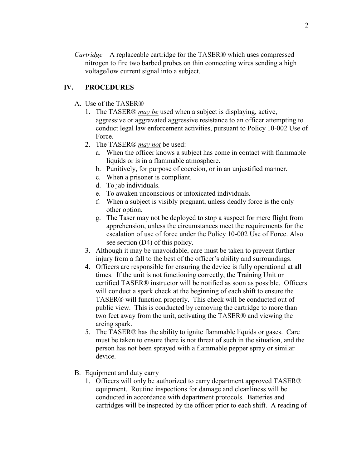*Cartridge* – A replaceable cartridge for the TASER® which uses compressed nitrogen to fire two barbed probes on thin connecting wires sending a high voltage/low current signal into a subject.

# **IV. PROCEDURES**

- A. Use of the TASER®
	- 1. The TASER® *may be* used when a subject is displaying, active, aggressive or aggravated aggressive resistance to an officer attempting to conduct legal law enforcement activities, pursuant to Policy 10-002 Use of Force.
	- 2. The TASER® *may not* be used:
		- a. When the officer knows a subject has come in contact with flammable liquids or is in a flammable atmosphere.
		- b. Punitively, for purpose of coercion, or in an unjustified manner.
		- c. When a prisoner is compliant.
		- d. To jab individuals.
		- e. To awaken unconscious or intoxicated individuals.
		- f. When a subject is visibly pregnant, unless deadly force is the only other option.
		- g. The Taser may not be deployed to stop a suspect for mere flight from apprehension, unless the circumstances meet the requirements for the escalation of use of force under the Policy 10-002 Use of Force. Also see section (D4) of this policy.
	- 3. Although it may be unavoidable, care must be taken to prevent further injury from a fall to the best of the officer's ability and surroundings.
	- 4. Officers are responsible for ensuring the device is fully operational at all times. If the unit is not functioning correctly, the Training Unit or certified TASER® instructor will be notified as soon as possible. Officers will conduct a spark check at the beginning of each shift to ensure the TASER® will function properly. This check will be conducted out of public view. This is conducted by removing the cartridge to more than two feet away from the unit, activating the TASER® and viewing the arcing spark.
	- 5. The TASER® has the ability to ignite flammable liquids or gases. Care must be taken to ensure there is not threat of such in the situation, and the person has not been sprayed with a flammable pepper spray or similar device.
- B. Equipment and duty carry
	- 1. Officers will only be authorized to carry department approved TASER® equipment. Routine inspections for damage and cleanliness will be conducted in accordance with department protocols. Batteries and cartridges will be inspected by the officer prior to each shift. A reading of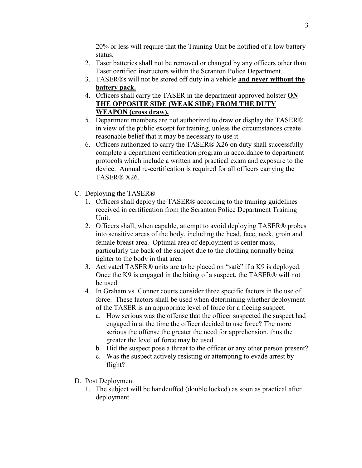20% or less will require that the Training Unit be notified of a low battery status.

- 2. Taser batteries shall not be removed or changed by any officers other than Taser certified instructors within the Scranton Police Department.
- 3. TASER®s will not be stored off duty in a vehicle **and never without the battery pack.**
- 4. Officers shall carry the TASER in the department approved holster **ON THE OPPOSITE SIDE (WEAK SIDE) FROM THE DUTY WEAPON (cross draw).**
- 5. Department members are not authorized to draw or display the TASER® in view of the public except for training, unless the circumstances create reasonable belief that it may be necessary to use it.
- 6. Officers authorized to carry the TASER® X26 on duty shall successfully complete a department certification program in accordance to department protocols which include a written and practical exam and exposure to the device. Annual re-certification is required for all officers carrying the TASER® X26.
- C. Deploying the TASER®
	- 1. Officers shall deploy the TASER® according to the training guidelines received in certification from the Scranton Police Department Training Unit.
	- 2. Officers shall, when capable, attempt to avoid deploying TASER® probes into sensitive areas of the body, including the head, face, neck, groin and female breast area. Optimal area of deployment is center mass, particularly the back of the subject due to the clothing normally being tighter to the body in that area.
	- 3. Activated TASER® units are to be placed on "safe" if a K9 is deployed. Once the K9 is engaged in the biting of a suspect, the TASER® will not be used.
	- 4. In Graham vs. Conner courts consider three specific factors in the use of force. These factors shall be used when determining whether deployment of the TASER is an appropriate level of force for a fleeing suspect.
		- a. How serious was the offense that the officer suspected the suspect had engaged in at the time the officer decided to use force? The more serious the offense the greater the need for apprehension, thus the greater the level of force may be used.
		- b. Did the suspect pose a threat to the officer or any other person present?
		- c. Was the suspect actively resisting or attempting to evade arrest by flight?
- D. Post Deployment
	- 1. The subject will be handcuffed (double locked) as soon as practical after deployment.